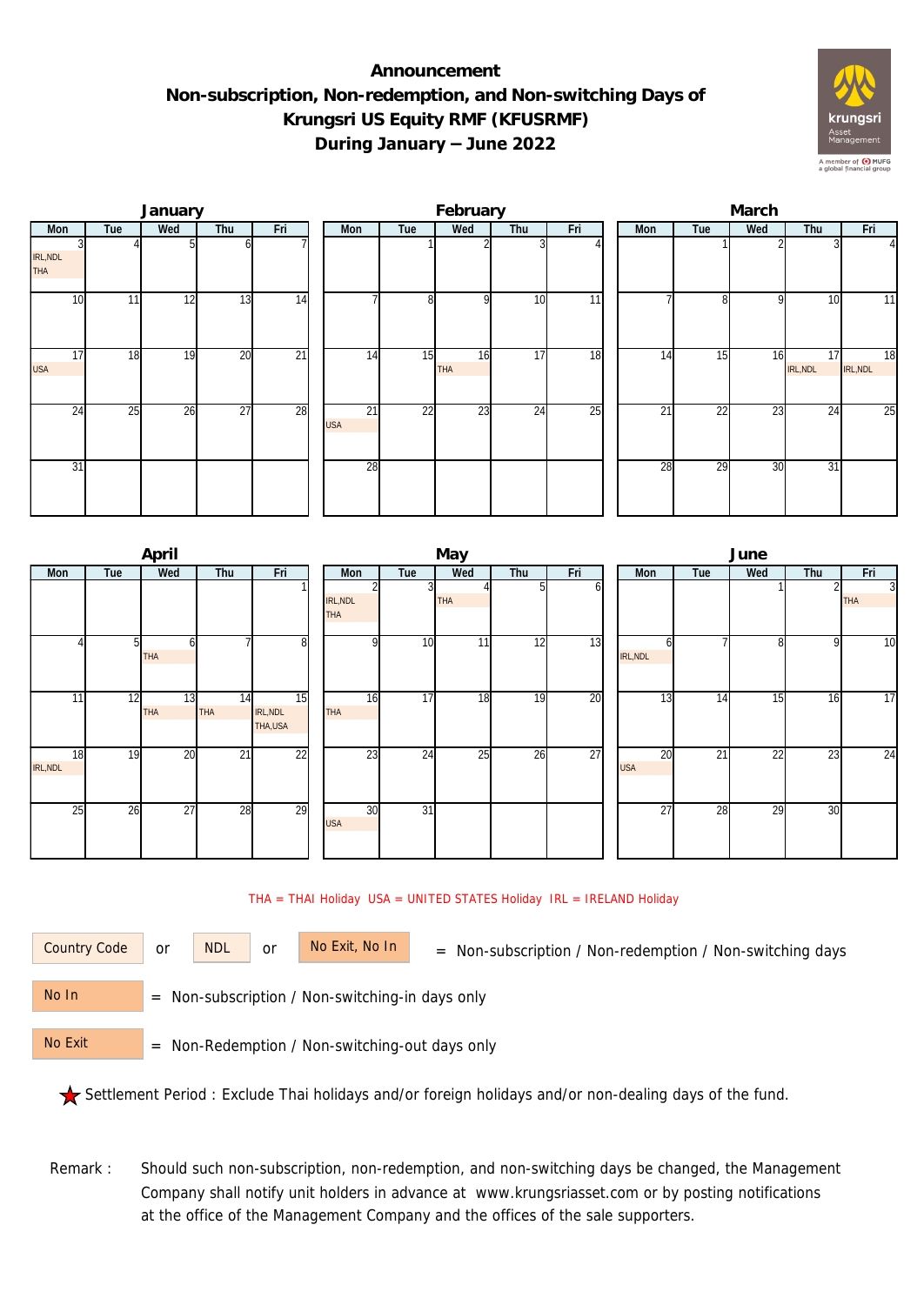## **Announcement Non-subscription, Non-redemption, and Non-switching Days of Krungsri US Equity RMF (KFUSRMF) During January – June 2022**



|                        |     | January |                 |                 |                  |                | February         |     |     | March |     |                 |                |                |  |  |
|------------------------|-----|---------|-----------------|-----------------|------------------|----------------|------------------|-----|-----|-------|-----|-----------------|----------------|----------------|--|--|
| Mon                    | Tue | Wed     | Thu             | Fri             | Mon              | Tue            | Wed              | Thu | Fri | Mon   | Tue | Wed             | Thu            | Fri            |  |  |
| IRL, NDL<br><b>THA</b> |     |         |                 |                 |                  |                |                  |     |     |       |     |                 |                | 41             |  |  |
| 10                     | 11  | 12      | 13              | 14              |                  | 8 <sup>1</sup> | $\Omega$         | 10  | 11  |       | 81  | $\Omega$        | 10             | 11             |  |  |
| 17<br><b>USA</b>       | 18  | 19      | $\overline{20}$ | $\overline{21}$ | 14               | 15             | 16<br><b>THA</b> | 17  | 18  | 14    | 15  | 16              | 17<br>IRL, NDL | 18<br>IRL, NDL |  |  |
| 24                     | 25  | 26      | $\overline{27}$ | 28              | 21<br><b>USA</b> | 22             | 23               | 24  | 25  | 21    | 22  | $\overline{23}$ | 24             | 25             |  |  |
| 31                     |     |         |                 |                 | 28               |                |                  |     |     | 28    | 29  | 30              | 31             |                |  |  |

|                |     | April     |                  |                           |                        |                 | May        |     |     | June |                  |     |                 |     |                              |  |
|----------------|-----|-----------|------------------|---------------------------|------------------------|-----------------|------------|-----|-----|------|------------------|-----|-----------------|-----|------------------------------|--|
| Mon            | Tue | Wed       | Thu              | Fri                       | Mon                    | Tue             | Wed        | Thu | Fri |      | Mon              | Tue | Wed             | Thu | Fri                          |  |
|                |     |           |                  |                           | IRL, NDL<br><b>THA</b> |                 | <b>THA</b> | 5.  | ωI  |      |                  |     |                 |     | $\overline{3}$<br><b>THA</b> |  |
|                |     | ΩI<br>THA |                  | 8                         | n                      | 10 <sup>1</sup> | 11         | 12  | 13  |      | IRL, NDL         |     |                 | 9   | 10                           |  |
| 11             | 12  | 13<br>THA | 14<br><b>THA</b> | 15<br>IRL, NDL<br>THA,USA | 16<br><b>THA</b>       | 17              | 18         | 19  | 20  |      | 13               | 14  | $1\overline{5}$ | 16  | $\overline{17}$              |  |
| 18<br>IRL, NDL | 19  | 20        | 21               | 22                        | 23                     | $2\overline{4}$ | 25         | 26  | 27  |      | 20<br><b>USA</b> | 21  | $\overline{22}$ | 23  | $\overline{24}$              |  |
| 25             | 26  | 27        | 28               | 29                        | 30<br><b>USA</b>       | 31              |            |     |     |      | 27               | 28  | 29              | 30  |                              |  |

THA = THAI Holiday USA = UNITED STATES Holiday IRL = IRELAND Holiday

or NDL or

Country Code or NDL or No Exit, No In = Non-subscription / Non-redemption / Non-switching days

 = Non-subscription / Non-switching-in days only No In

 = Non-Redemption / Non-switching-out days only No Exit

Settlement Period : Exclude Thai holidays and/or foreign holidays and/or non-dealing days of the fund.

Remark : Should such non-subscription, non-redemption, and non-switching days be changed, the Management Company shall notify unit holders in advance at www.krungsriasset.com or by posting notifications at the office of the Management Company and the offices of the sale supporters.